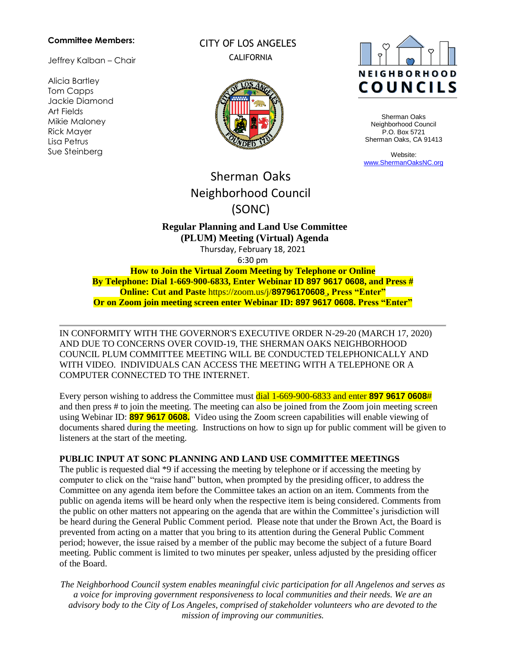#### **Committee Members:**

Jeffrey Kalban – Chair

Alicia Bartley Tom Capps Jackie Diamond Art Fields Mikie Maloney Rick Mayer Lisa Petrus Sue Steinberg

CITY OF LOS ANGELES **CALIFORNIA** 





Sherman Oaks Neighborhood Council P.O. Box 5721 Sherman Oaks, CA 91413

Website: [www.ShermanOaksNC.org](http://www.shermanoaksnc.org/)

# Sherman Oaks Neighborhood Council (SONC)

# **Regular Planning and Land Use Committee (PLUM) Meeting (Virtual) Agenda**

Thursday, February 18, 2021 6:30 pm

**How to Join the Virtual Zoom Meeting by Telephone or Online By Telephone: Dial 1-669-900-6833, Enter Webinar ID 897 9617 0608, and Press # Online: Cut and Paste** https://zoom.us/j/**89796170608 [,](https://zoom.us/j/949%2009036906) Press "Enter" Or on Zoom join meeting screen enter Webinar ID: 897 9617 0608. Press "Enter"**

IN CONFORMITY WITH THE GOVERNOR'S EXECUTIVE ORDER N-29-20 (MARCH 17, 2020) AND DUE TO CONCERNS OVER COVID-19, THE SHERMAN OAKS NEIGHBORHOOD COUNCIL PLUM COMMITTEE MEETING WILL BE CONDUCTED TELEPHONICALLY AND WITH VIDEO. INDIVIDUALS CAN ACCESS THE MEETING WITH A TELEPHONE OR A COMPUTER CONNECTED TO THE INTERNET.

Every person wishing to address the Committee must dial 1-669-900-6833 and enter **897 9617 0608**# and then press # to join the meeting. The meeting can also be joined from the Zoom join meeting screen using Webinar ID: **897 9617 0608.** Video using the Zoom screen capabilities will enable viewing of documents shared during the meeting. Instructions on how to sign up for public comment will be given to listeners at the start of the meeting.

## **PUBLIC INPUT AT SONC PLANNING AND LAND USE COMMITTEE MEETINGS**

The public is requested dial \*9 if accessing the meeting by telephone or if accessing the meeting by computer to click on the "raise hand" button, when prompted by the presiding officer, to address the Committee on any agenda item before the Committee takes an action on an item. Comments from the public on agenda items will be heard only when the respective item is being considered. Comments from the public on other matters not appearing on the agenda that are within the Committee's jurisdiction will be heard during the General Public Comment period. Please note that under the Brown Act, the Board is prevented from acting on a matter that you bring to its attention during the General Public Comment period; however, the issue raised by a member of the public may become the subject of a future Board meeting. Public comment is limited to two minutes per speaker, unless adjusted by the presiding officer of the Board.

*The Neighborhood Council system enables meaningful civic participation for all Angelenos and serves as a voice for improving government responsiveness to local communities and their needs. We are an advisory body to the City of Los Angeles, comprised of stakeholder volunteers who are devoted to the mission of improving our communities.*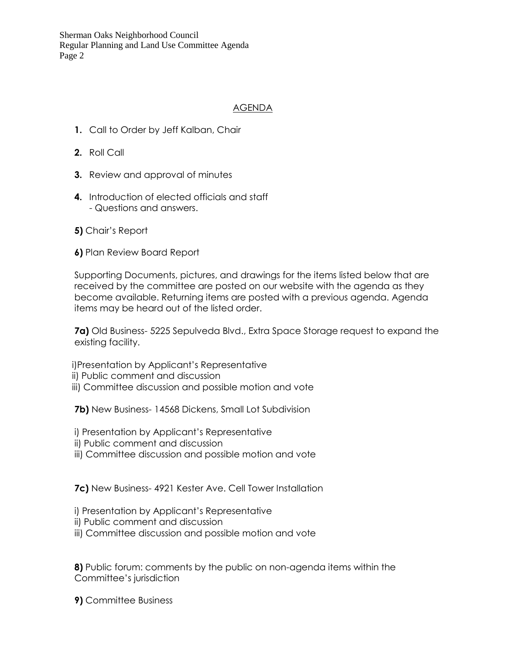Sherman Oaks Neighborhood Council Regular Planning and Land Use Committee Agenda Page 2

# AGENDA

- **1.** Call to Order by Jeff Kalban, Chair
- **2.** Roll Call
- **3.** Review and approval of minutes
- **4.** Introduction of elected officials and staff - Questions and answers.
- **5)** Chair's Report
- **6)** Plan Review Board Report

Supporting Documents, pictures, and drawings for the items listed below that are received by the committee are posted on our website with the agenda as they become available. Returning items are posted with a previous agenda. Agenda items may be heard out of the listed order.

**7a)** Old Business- 5225 Sepulveda Blvd., Extra Space Storage request to expand the existing facility.

i)Presentation by Applicant's Representative

- ii) Public comment and discussion
- iii) Committee discussion and possible motion and vote

**7b)** New Business- 14568 Dickens, Small Lot Subdivision

- i) Presentation by Applicant's Representative
- ii) Public comment and discussion
- iii) Committee discussion and possible motion and vote

**7c)** New Business- 4921 Kester Ave. Cell Tower Installation

- i) Presentation by Applicant's Representative
- ii) Public comment and discussion
- iii) Committee discussion and possible motion and vote

**8)** Public forum: comments by the public on non-agenda items within the Committee's jurisdiction

**9)** Committee Business